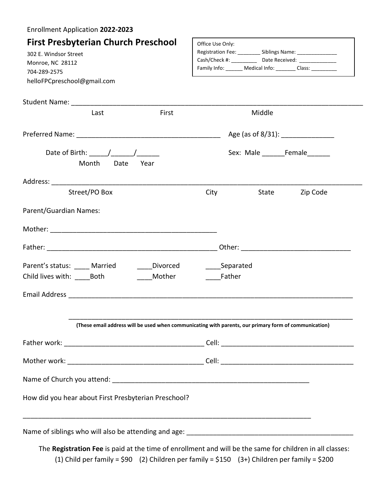| Enrollment Application 2022-2023                                                                                                                                                                                                                                                                                                                                                                                                            |                                                                                                                                                                                                               |
|---------------------------------------------------------------------------------------------------------------------------------------------------------------------------------------------------------------------------------------------------------------------------------------------------------------------------------------------------------------------------------------------------------------------------------------------|---------------------------------------------------------------------------------------------------------------------------------------------------------------------------------------------------------------|
| <b>First Presbyterian Church Preschool</b><br>302 E. Windsor Street<br>Monroe, NC 28112<br>704-289-2575<br>helloFPCpreschool@gmail.com                                                                                                                                                                                                                                                                                                      | Office Use Only:<br>Registration Fee: __________ Siblings Name: ________________<br>Cash/Check #: ______________ Date Received: ______________<br>Family Info: _______ Medical Info: _______ Class: _________ |
|                                                                                                                                                                                                                                                                                                                                                                                                                                             |                                                                                                                                                                                                               |
| First<br>Last                                                                                                                                                                                                                                                                                                                                                                                                                               | Middle                                                                                                                                                                                                        |
|                                                                                                                                                                                                                                                                                                                                                                                                                                             |                                                                                                                                                                                                               |
| Date of Birth: $\frac{1}{\sqrt{1-\frac{1}{\sqrt{1-\frac{1}{\sqrt{1-\frac{1}{\sqrt{1-\frac{1}{\sqrt{1-\frac{1}{\sqrt{1-\frac{1}{\sqrt{1-\frac{1}{\sqrt{1-\frac{1}{\sqrt{1-\frac{1}{\sqrt{1-\frac{1}{\sqrt{1-\frac{1}{\sqrt{1-\frac{1}{\sqrt{1-\frac{1}{\sqrt{1-\frac{1}{\sqrt{1-\frac{1}{\sqrt{1-\frac{1}{\sqrt{1-\frac{1}{\sqrt{1-\frac{1}{\sqrt{1-\frac{1}{\sqrt{1-\frac{1}{\sqrt{1-\frac{1}{\sqrt{1-\frac{1}{\sqrt$<br>Month Date<br>Year | Sex: Male _________Female________                                                                                                                                                                             |
|                                                                                                                                                                                                                                                                                                                                                                                                                                             |                                                                                                                                                                                                               |
| Street/PO Box                                                                                                                                                                                                                                                                                                                                                                                                                               | <b>City</b><br>State Zip Code                                                                                                                                                                                 |
| Parent/Guardian Names:                                                                                                                                                                                                                                                                                                                                                                                                                      |                                                                                                                                                                                                               |
|                                                                                                                                                                                                                                                                                                                                                                                                                                             |                                                                                                                                                                                                               |
|                                                                                                                                                                                                                                                                                                                                                                                                                                             |                                                                                                                                                                                                               |
| Parent's status: Married<br>_____Divorced<br>Child lives with: Both<br>Mother                                                                                                                                                                                                                                                                                                                                                               | Separated<br>Father                                                                                                                                                                                           |
|                                                                                                                                                                                                                                                                                                                                                                                                                                             |                                                                                                                                                                                                               |
|                                                                                                                                                                                                                                                                                                                                                                                                                                             |                                                                                                                                                                                                               |
|                                                                                                                                                                                                                                                                                                                                                                                                                                             | (These email address will be used when communicating with parents, our primary form of communication)                                                                                                         |
|                                                                                                                                                                                                                                                                                                                                                                                                                                             |                                                                                                                                                                                                               |
|                                                                                                                                                                                                                                                                                                                                                                                                                                             |                                                                                                                                                                                                               |
|                                                                                                                                                                                                                                                                                                                                                                                                                                             |                                                                                                                                                                                                               |
| How did you hear about First Presbyterian Preschool?                                                                                                                                                                                                                                                                                                                                                                                        |                                                                                                                                                                                                               |
|                                                                                                                                                                                                                                                                                                                                                                                                                                             |                                                                                                                                                                                                               |
|                                                                                                                                                                                                                                                                                                                                                                                                                                             | The Registration Fee is paid at the time of enrollment and will be the same for children in all classes:<br>(1) Child per family = \$90 (2) Children per family = \$150 (3+) Children per family = \$200      |